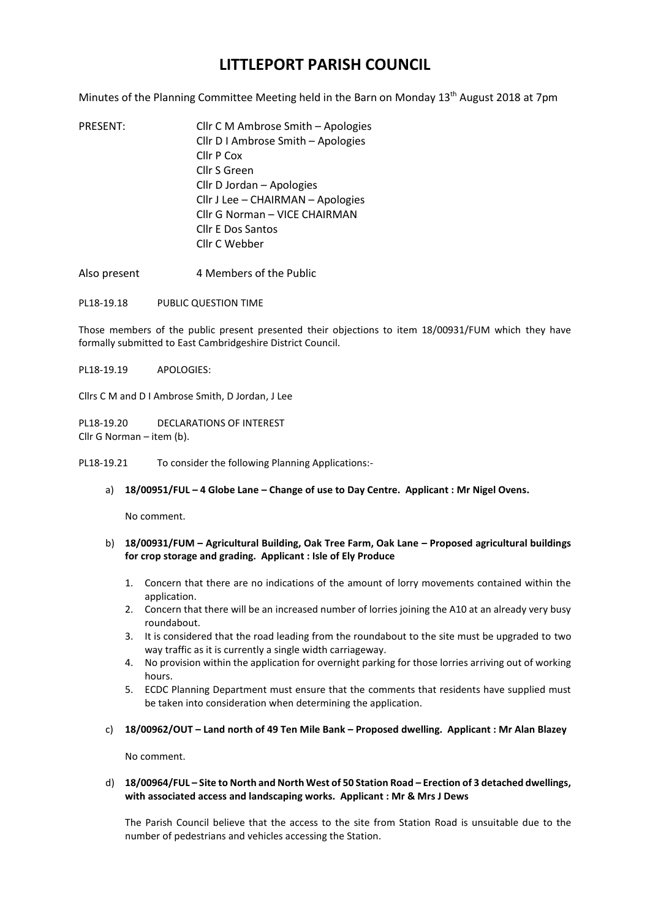## **LITTLEPORT PARISH COUNCIL**

Minutes of the Planning Committee Meeting held in the Barn on Monday 13<sup>th</sup> August 2018 at 7pm

- PRESENT: Cllr C M Ambrose Smith Apologies Cllr D I Ambrose Smith – Apologies Cllr P Cox Cllr S Green Cllr D Jordan – Apologies Cllr J Lee – CHAIRMAN – Apologies Cllr G Norman – VICE CHAIRMAN Cllr E Dos Santos Cllr C Webber
- Also present 4 Members of the Public
- PL18-19.18 PUBLIC QUESTION TIME

Those members of the public present presented their objections to item 18/00931/FUM which they have formally submitted to East Cambridgeshire District Council.

PL18-19.19 APOLOGIES:

Cllrs C M and D I Ambrose Smith, D Jordan, J Lee

PL18-19.20 DECLARATIONS OF INTEREST Cllr G Norman – item (b).

PL18-19.21 To consider the following Planning Applications:-

a) **18/00951/FUL – 4 Globe Lane – Change of use to Day Centre. Applicant : Mr Nigel Ovens.**

No comment.

- b) **18/00931/FUM – Agricultural Building, Oak Tree Farm, Oak Lane – Proposed agricultural buildings for crop storage and grading. Applicant : Isle of Ely Produce**
	- 1. Concern that there are no indications of the amount of lorry movements contained within the application.
	- 2. Concern that there will be an increased number of lorries joining the A10 at an already very busy roundabout.
	- 3. It is considered that the road leading from the roundabout to the site must be upgraded to two way traffic as it is currently a single width carriageway.
	- 4. No provision within the application for overnight parking for those lorries arriving out of working hours.
	- 5. ECDC Planning Department must ensure that the comments that residents have supplied must be taken into consideration when determining the application.
- c) **18/00962/OUT – Land north of 49 Ten Mile Bank – Proposed dwelling. Applicant : Mr Alan Blazey**

No comment.

## d) **18/00964/FUL – Site to North and North West of 50 Station Road – Erection of 3 detached dwellings, with associated access and landscaping works. Applicant : Mr & Mrs J Dews**

The Parish Council believe that the access to the site from Station Road is unsuitable due to the number of pedestrians and vehicles accessing the Station.